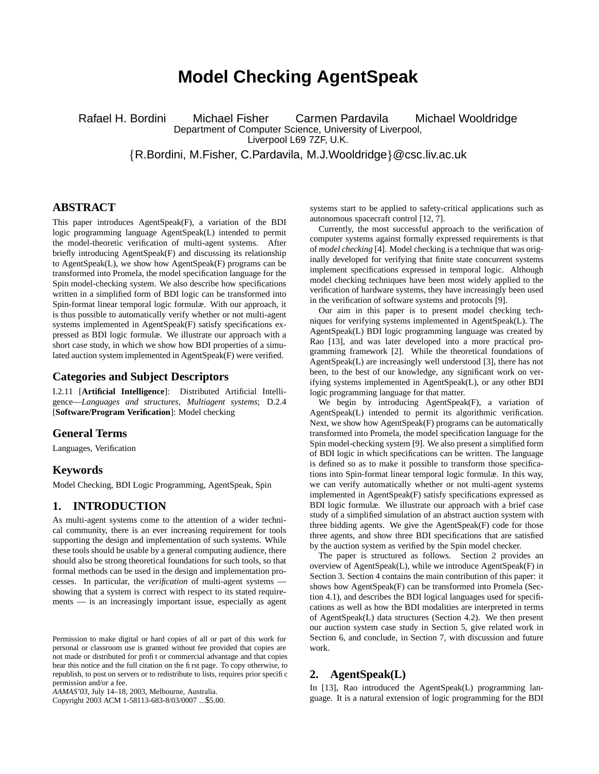# **Model Checking AgentSpeak**

Rafael H. Bordini Michael Fisher Carmen Pardavila Michael Wooldridge Department of Computer Science, University of Liverpool, Liverpool L69 7ZF, U.K.

R.Bordini, M.Fisher, C.Pardavila, M.J.Wooldridge @csc.liv.ac.uk

## **ABSTRACT**

This paper introduces AgentSpeak(F), a variation of the BDI logic programming language AgentSpeak(L) intended to permit the model-theoretic verification of multi-agent systems. After briefly introducing AgentSpeak(F) and discussing its relationship to AgentSpeak(L), we show how AgentSpeak(F) programs can be transformed into Promela, the model specification language for the Spin model-checking system. We also describe how specifications written in a simplified form of BDI logic can be transformed into Spin-format linear temporal logic formulæ. With our approach, it is thus possible to automatically verify whether or not multi-agent systems implemented in AgentSpeak(F) satisfy specifications expressed as BDI logic formulæ. We illustrate our approach with a short case study, in which we show how BDI properties of a simulated auction system implemented in AgentSpeak(F) were verified.

## **Categories and Subject Descriptors**

I.2.11 [**Artificial Intelligence**]: Distributed Artificial Intelligence—*Languages and structures, Multiagent systems*; D.2.4 [**Software/Program Verification**]: Model checking

## **General Terms**

Languages, Verification

#### **Keywords**

Model Checking, BDI Logic Programming, AgentSpeak, Spin

## **1. INTRODUCTION**

As multi-agent systems come to the attention of a wider technical community, there is an ever increasing requirement for tools supporting the design and implementation of such systems. While these tools should be usable by a general computing audience, there should also be strong theoretical foundations for such tools, so that formal methods can be used in the design and implementation processes. In particular, the *verification* of multi-agent systems showing that a system is correct with respect to its stated requirements — is an increasingly important issue, especially as agent

Copyright 2003 ACM 1-58113-683-8/03/0007 ...\$5.00.

systems start to be applied to safety-critical applications such as autonomous spacecraft control [12, 7].

Currently, the most successful approach to the verification of computer systems against formally expressed requirements is that of *model checking* [4]. Model checking is a technique that was originally developed for verifying that finite state concurrent systems implement specifications expressed in temporal logic. Although model checking techniques have been most widely applied to the verification of hardware systems, they have increasingly been used in the verification of software systems and protocols [9].

Our aim in this paper is to present model checking techniques for verifying systems implemented in AgentSpeak(L). The AgentSpeak(L) BDI logic programming language was created by Rao [13], and was later developed into a more practical programming framework [2]. While the theoretical foundations of AgentSpeak(L) are increasingly well understood [3], there has not been, to the best of our knowledge, any significant work on verifying systems implemented in AgentSpeak(L), or any other BDI logic programming language for that matter.

We begin by introducing AgentSpeak(F), a variation of AgentSpeak(L) intended to permit its algorithmic verification. Next, we show how AgentSpeak(F) programs can be automatically transformed into Promela, the model specification language for the Spin model-checking system [9]. We also present a simplified form of BDI logic in which specifications can be written. The language is defined so as to make it possible to transform those specifications into Spin-format linear temporal logic formulæ. In this way, we can verify automatically whether or not multi-agent systems implemented in AgentSpeak(F) satisfy specifications expressed as BDI logic formulæ. We illustrate our approach with a brief case study of a simplified simulation of an abstract auction system with three bidding agents. We give the AgentSpeak(F) code for those three agents, and show three BDI specifications that are satisfied by the auction system as verified by the Spin model checker.

The paper is structured as follows. Section 2 provides an overview of AgentSpeak(L), while we introduce AgentSpeak(F) in Section 3. Section 4 contains the main contribution of this paper: it shows how AgentSpeak(F) can be transformed into Promela (Section 4.1), and describes the BDI logical languages used for specifications as well as how the BDI modalities are interpreted in terms of AgentSpeak(L) data structures (Section 4.2). We then present our auction system case study in Section 5, give related work in Section 6, and conclude, in Section 7, with discussion and future work.

## **2. AgentSpeak(L)**

In [13], Rao introduced the AgentSpeak(L) programming language. It is a natural extension of logic programming for the BDI

Permission to make digital or hard copies of all or part of this work for personal or classroom use is granted without fee provided that copies are not made or distributed for profit or commercial advantage and that copies bear this notice and the full citation on the first page. To copy otherwise, to republish, to post on servers or to redistribute to lists, requires prior specific permission and/or a fee.

*AAMAS'03,* July 14–18, 2003, Melbourne, Australia.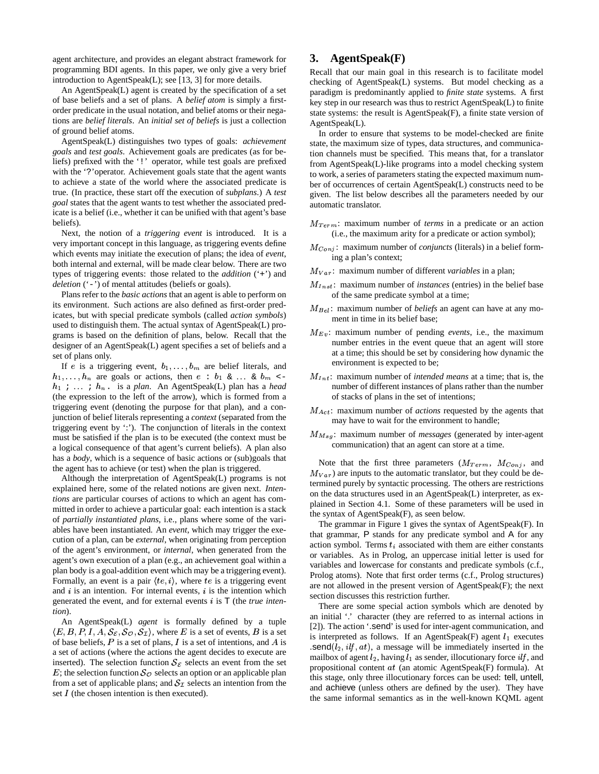agent architecture, and provides an elegant abstract framework for programming BDI agents. In this paper, we only give a very brief introduction to AgentSpeak(L); see [13, 3] for more details.

An AgentSpeak(L) agent is created by the specification of a set of base beliefs and a set of plans. A *belief atom* is simply a firstorder predicate in the usual notation, and belief atoms or their negations are *belief literals*. An *initial set of beliefs* is just a collection of ground belief atoms.

AgentSpeak(L) distinguishes two types of goals: *achievement goals* and *test goals*. Achievement goals are predicates (as for beliefs) prefixed with the '!' operator, while test goals are prefixed with the '?'operator. Achievement goals state that the agent wants to achieve a state of the world where the associated predicate is true. (In practice, these start off the execution of *subplans*.) A *test goal* states that the agent wants to test whether the associated predicate is a belief (i.e., whether it can be unified with that agent's base beliefs).

Next, the notion of a *triggering event* is introduced. It is a very important concept in this language, as triggering events define which events may initiate the execution of plans; the idea of *event*, both internal and external, will be made clear below. There are two types of triggering events: those related to the *addition* ('+') and *deletion* ('-') of mental attitudes (beliefs or goals).

Plans refer to the *basic actions* that an agent is able to perform on its environment. Such actions are also defined as first-order predicates, but with special predicate symbols (called *action symbols*) used to distinguish them. The actual syntax of AgentSpeak(L) programs is based on the definition of plans, below. Recall that the designer of an AgentSpeak(L) agent specifies a set of beliefs and a set of plans only.

If e is a triggering event,  $b_1, \ldots, b_m$  are belief literals, and  $h_1, \ldots, h_n$  are goals or actions, then  $e : b_1 \& \ldots \& b_m$ - ; . . . ; . is a *plan*. An AgentSpeak(L) plan has a *head* (the expression to the left of the arrow), which is formed from a triggering event (denoting the purpose for that plan), and a conjunction of belief literals representing a *context* (separated from the triggering event by ':'). The conjunction of literals in the context must be satisfied if the plan is to be executed (the context must be a logical consequence of that agent's current beliefs). A plan also has a *body*, which is a sequence of basic actions or (sub)goals that the agent has to achieve (or test) when the plan is triggered.

Although the interpretation of AgentSpeak(L) programs is not explained here, some of the related notions are given next. *Intentions* are particular courses of actions to which an agent has committed in order to achieve a particular goal: each intention is a stack of *partially instantiated plans*, i.e., plans where some of the variables have been instantiated. An *event*, which may trigger the execution of a plan, can be *external*, when originating from perception of the agent's environment, or *internal*, when generated from the agent's own execution of a plan (e.g., an achievement goal within a plan body is a goal-addition event which may be a triggering event). Formally, an event is a pair  $\langle te, i \rangle$ , where  $te$  is a triggering event and  $i$  is an intention. For internal events,  $i$  is the intention which generated the event, and for external events is T (the *true intention*).

An AgentSpeak(L) *agent* is formally defined by a tuple  $\langle E, B, P, I, A, S_{\mathcal{E}}, S_{\mathcal{O}}, S_{\mathcal{I}} \rangle$ , where E is a set of events, B is a set  $\bigcup_{i=1}^{+\infty}$ of base beliefs, P is a set of plans, I is a set of intentions, and A is a set of actions (where the actions the agent decides to execute are inserted). The selection function  $S_{\mathcal{E}}$  selects an event from the set E; the selection function  $\mathcal{S}_{\mathcal{O}}$  selects an option or an applicable plan from a set of applicable plans; and  $S_{\mathcal{I}}$  selects an intention from the set  $I$  (the chosen intention is then executed).

## **3. AgentSpeak(F)**

Recall that our main goal in this research is to facilitate model checking of AgentSpeak(L) systems. But model checking as a paradigm is predominantly applied to *finite state* systems. A first key step in our research was thus to restrict AgentSpeak(L) to finite state systems: the result is AgentSpeak(F), a finite state version of AgentSpeak(L).

In order to ensure that systems to be model-checked are finite state, the maximum size of types, data structures, and communication channels must be specified. This means that, for a translator from AgentSpeak(L)-like programs into a model checking system to work, a series of parameters stating the expected maximum number of occurrences of certain AgentSpeak(L) constructs need to be given. The list below describes all the parameters needed by our automatic translator.

- $M_{Term}$ : maximum number of *terms* in a predicate or an action (i.e., the maximum arity for a predicate or action symbol);
- $M_{Coni}$ : maximum number of *conjuncts* (literals) in a belief forming a plan's context;
- $M_{Var}$ : maximum number of different *variables* in a plan;
- $M_{Inst}$ : maximum number of *instances* (entries) in the belief base of the same predicate symbol at a time;
- $M_{Bel}$ : maximum number of *beliefs* an agent can have at any moment in time in its belief base;
- $M_{Ev}$ : maximum number of pending *events*, i.e., the maximum number entries in the event queue that an agent will store at a time; this should be set by considering how dynamic the environment is expected to be;
- $M_{Int}$ : maximum number of *intended means* at a time; that is, the number of different instances of plans rather than the number of stacks of plans in the set of intentions;
- $M_{Act}$ : maximum number of *actions* requested by the agents that may have to wait for the environment to handle;
- $M_{Msq}$ : maximum number of *messages* (generated by inter-agent communication) that an agent can store at a time.

Note that the first three parameters  $(M_{Term}, M_{Conj}, \text{and})$  $M_{Var}$ ) are inputs to the automatic translator, but they could be determined purely by syntactic processing. The others are restrictions on the data structures used in an AgentSpeak(L) interpreter, as explained in Section 4.1. Some of these parameters will be used in the syntax of AgentSpeak(F), as seen below.

The grammar in Figure 1 gives the syntax of AgentSpeak(F). In that grammar, P stands for any predicate symbol and A for any action symbol. Terms  $t_i$  associated with them are either constants or variables. As in Prolog, an uppercase initial letter is used for variables and lowercase for constants and predicate symbols (c.f., Prolog atoms). Note that first order terms (c.f., Prolog structures) are not allowed in the present version of AgentSpeak(F); the next section discusses this restriction further.

There are some special action symbols which are denoted by an initial '.' character (they are referred to as internal actions in [2]). The action '.send' is used for inter-agent communication, and is interpreted as follows. If an AgentSpeak(F) agent  $l_1$  executes .send( $l_2$ , ilf,  $at$ ), a message will be immediately inserted in the mailbox of agent  $l_2$ , having  $l_1$  as sender, illocutionary force ilf, and propositional content  $at$  (an atomic AgentSpeak(F) formula). At this stage, only three illocutionary forces can be used: tell, untell, and achieve (unless others are defined by the user). They have the same informal semantics as in the well-known KQML agent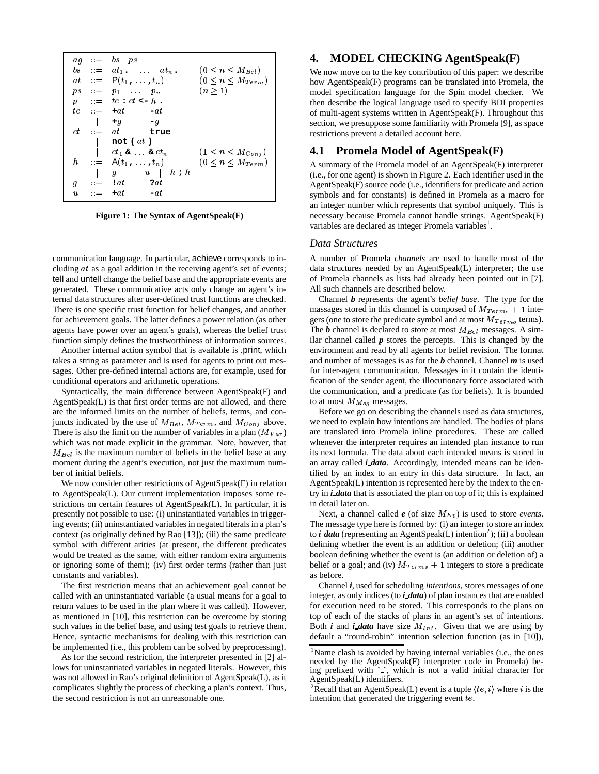|                  | $ag \quad = \quad bs \quad ps$                       |                            |  |
|------------------|------------------------------------------------------|----------------------------|--|
|                  | $bs = at_1$ , $at_n$ ,                               | $(0 \leq n \leq M_{Bel})$  |  |
|                  | $at ::= P(t_1, \ldots, t_n)$                         | $(0 \le n \le M_{Term})$   |  |
| ps               | $\cdots = p_1$ $p_n$                                 | (n>1)                      |  |
| $\boldsymbol{p}$ | $\therefore$ te : ct <- h.                           |                            |  |
|                  | $te \quad ::= \quad +at \quad   \quad -at$           |                            |  |
|                  | $+q$ $-q$                                            |                            |  |
|                  | $ct = at$ true                                       |                            |  |
|                  | not ( $at$ )                                         |                            |  |
|                  | $ct_1$ & $\ldots$ & $ct_n$                           | $(1 \le n \le M_{Coni})$   |  |
|                  | $h$ : $= A(t_1, \ldots, t_n)$                        | $(0 \leq n \leq M_{Term})$ |  |
|                  | $g \mid u \mid h \cdot h$                            |                            |  |
| g                | $2at$<br>$\mathbf{r} = -\mathbf{i} a t$              |                            |  |
| u                | $\mathbf{r} = -\mathbf{r} \cdot \mathbf{r}$<br>$-at$ |                            |  |

**Figure 1: The Syntax of AgentSpeak(F)**

communication language. In particular, achieve corresponds to including  $at$  as a goal addition in the receiving agent's set of events; tell and untell change the belief base and the appropriate events are generated. These communicative acts only change an agent's internal data structures after user-defined trust functions are checked. There is one specific trust function for belief changes, and another for achievement goals. The latter defines a power relation (as other agents have power over an agent's goals), whereas the belief trust function simply defines the trustworthiness of information sources.

Another internal action symbol that is available is .print, which takes a string as parameter and is used for agents to print out messages. Other pre-defined internal actions are, for example, used for conditional operators and arithmetic operations.

Syntactically, the main difference between AgentSpeak(F) and AgentSpeak(L) is that first order terms are not allowed, and there are the informed limits on the number of beliefs, terms, and conjuncts indicated by the use of  $M_{Bel}$ ,  $M_{Term}$ , and  $M_{Conj}$  above. There is also the limit on the number of variables in a plan  $(M_{Var})$ which was not made explicit in the grammar. Note, however, that  $M_{Bel}$  is the maximum number of beliefs in the belief base at any moment during the agent's execution, not just the maximum number of initial beliefs.

We now consider other restrictions of AgentSpeak(F) in relation to AgentSpeak(L). Our current implementation imposes some restrictions on certain features of AgentSpeak(L). In particular, it is presently not possible to use: (i) uninstantiated variables in triggering events; (ii) uninstantiated variables in negated literals in a plan's context (as originally defined by Rao [13]); (iii) the same predicate symbol with different arities (at present, the different predicates would be treated as the same, with either random extra arguments or ignoring some of them); (iv) first order terms (rather than just constants and variables).

The first restriction means that an achievement goal cannot be called with an uninstantiated variable (a usual means for a goal to return values to be used in the plan where it was called). However, as mentioned in [10], this restriction can be overcome by storing such values in the belief base, and using test goals to retrieve them. Hence, syntactic mechanisms for dealing with this restriction can be implemented (i.e., this problem can be solved by preprocessing).

As for the second restriction, the interpreter presented in [2] allows for uninstantiated variables in negated literals. However, this was not allowed in Rao's original definition of AgentSpeak(L), as it complicates slightly the process of checking a plan's context. Thus, the second restriction is not an unreasonable one.

## **4. MODEL CHECKING AgentSpeak(F)**

 how AgentSpeak(F) programs can be translated into Promela, the We now move on to the key contribution of this paper: we describe model specification language for the Spin model checker. We then describe the logical language used to specify BDI properties of multi-agent systems written in AgentSpeak(F). Throughout this section, we presuppose some familiarity with Promela [9], as space restrictions prevent a detailed account here.

## **4.1 Promela Model of AgentSpeak(F)**

A summary of the Promela model of an AgentSpeak(F) interpreter (i.e., for one agent) is shown in Figure 2. Each identifier used in the  $AgentSpeak(F)$  source code (i.e., identifiers for predicate and action symbols and for constants) is defined in Promela as a macro for an integer number which represents that symbol uniquely. This is necessary because Promela cannot handle strings. AgentSpeak(F) variables are declared as integer Promela variables<sup>1</sup>.

#### *Data Structures*

A number of Promela *channels* are used to handle most of the data structures needed by an AgentSpeak(L) interpreter; the use of Promela channels as lists had already been pointed out in [7]. All such channels are described below.

Channel *b* represents the agent's *belief base*. The type for the massages stored in this channel is composed of  $M_{Terms} + 1$  integers (one to store the predicate symbol and at most  $M_{Terms}$  terms). The **b** channel is declared to store at most  $M_{Be}$  messages. A similar channel called  $p$  stores the percepts. This is changed by the environment and read by all agents for belief revision. The format and number of messages is as for the *b* channel. Channel *m* is used for inter-agent communication. Messages in it contain the identification of the sender agent, the illocutionary force associated with the communication, and a predicate (as for beliefs). It is bounded to at most  $M_{Msg}$  messages.

Before we go on describing the channels used as data structures, we need to explain how intentions are handled. The bodies of plans are translated into Promela inline procedures. These are called whenever the interpreter requires an intended plan instance to run its next formula. The data about each intended means is stored in an array called *i data*. Accordingly, intended means can be identified by an index to an entry in this data structure. In fact, an AgentSpeak(L) intention is represented here by the index to the entry in *i data* that is associated the plan on top of it; this is explained in detail later on.

Next, a channel called  $e$  (of size  $M_{Ev}$ ) is used to store *events*. The message type here is formed by: (i) an integer to store an index to *i data* (representing an AgentSpeak(L) intention<sup>2</sup>); (ii) a boolean defining whether the event is an addition or deletion; (iii) another boolean defining whether the event is (an addition or deletion of) a belief or a goal; and (iv)  $M_{Terms} + 1$  integers to store a predicate as before.

Channel *i*, used for scheduling *intentions*, stores messages of one integer, as only indices (to *i data*) of plan instances that are enabled for execution need to be stored. This corresponds to the plans on top of each of the stacks of plans in an agent's set of intentions. Both *i* and *i data* have size  $M_{Int}$ . Given that we are using by default a "round-robin" intention selection function (as in [10]),

<sup>&</sup>lt;sup>1</sup>Name clash is avoided by having internal variables (i.e., the ones needed by the AgentSpeak(F) interpreter code in Promela) being prefixed with ' ', which is not a valid initial character for AgentSpeak(L) identifiers.

<sup>&</sup>lt;sup>2</sup>Recall that an AgentSpeak(L) event is a tuple  $\langle te, i \rangle$  where i is the intention that generated the triggering event  $te$ .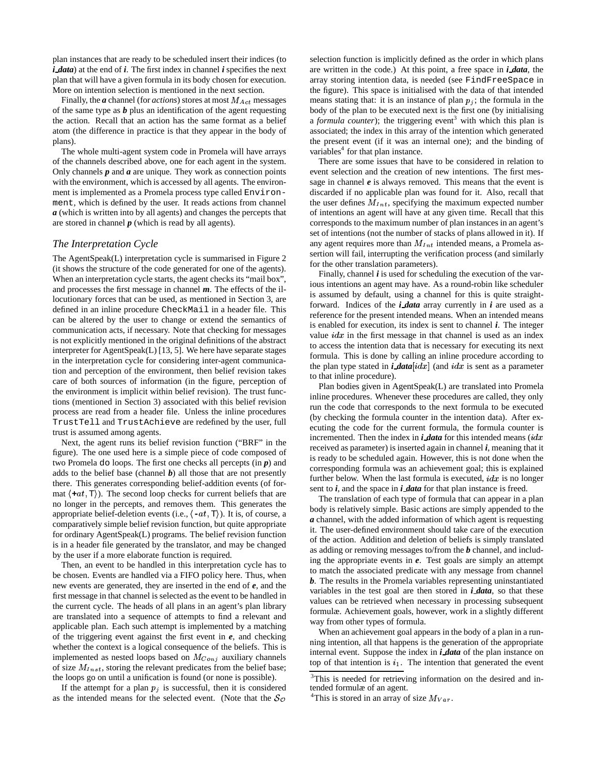plan instances that are ready to be scheduled insert their indices (to *i data*) at the end of *i*. The first index in channel *i* specifies the next plan that will have a given formula in its body chosen for execution. More on intention selection is mentioned in the next section.

Finally, the  $a$  channel (for  $actions$ ) stores at most  $M_{Act}$  messages of the same type as *b* plus an identification of the agent requesting the action. Recall that an action has the same format as a belief atom (the difference in practice is that they appear in the body of plans).

The whole multi-agent system code in Promela will have arrays of the channels described above, one for each agent in the system. Only channels *p* and *a* are unique. They work as connection points with the environment, which is accessed by all agents. The environment is implemented as a Promela process type called Environment, which is defined by the user. It reads actions from channel *a* (which is written into by all agents) and changes the percepts that are stored in channel *p* (which is read by all agents).

#### *The Interpretation Cycle*

The AgentSpeak(L) interpretation cycle is summarised in Figure 2 (it shows the structure of the code generated for one of the agents). When an interpretation cycle starts, the agent checks its "mail box", and processes the first message in channel *m*. The effects of the illocutionary forces that can be used, as mentioned in Section 3, are defined in an inline procedure CheckMail in a header file. This can be altered by the user to change or extend the semantics of communication acts, if necessary. Note that checking for messages is not explicitly mentioned in the original definitions of the abstract interpreter for AgentSpeak(L) [13, 5]. We here have separate stages in the interpretation cycle for considering inter-agent communication and perception of the environment, then belief revision takes care of both sources of information (in the figure, perception of the environment is implicit within belief revision). The trust functions (mentioned in Section 3) associated with this belief revision process are read from a header file. Unless the inline procedures TrustTell and TrustAchieve are redefined by the user, full trust is assumed among agents.

Next, the agent runs its belief revision function ("BRF" in the figure). The one used here is a simple piece of code composed of two Promela do loops. The first one checks all percepts (in *p*) and adds to the belief base (channel  $\boldsymbol{b}$ ) all those that are not presently there. This generates corresponding belief-addition events (of format  $\langle +at, T \rangle$ ). The second loop checks for current beliefs that are no longer in the percepts, and removes them. This generates the appropriate belief-deletion events (i.e.,  $\langle -at, T \rangle$ ). It is, of course, a comparatively simple belief revision function, but quite appropriate for ordinary AgentSpeak(L) programs. The belief revision function is in a header file generated by the translator, and may be changed by the user if a more elaborate function is required.

Then, an event to be handled in this interpretation cycle has to be chosen. Events are handled via a FIFO policy here. Thus, when new events are generated, they are inserted in the end of *e*, and the first message in that channel is selected as the event to be handled in the current cycle. The heads of all plans in an agent's plan library are translated into a sequence of attempts to find a relevant and applicable plan. Each such attempt is implemented by a matching of the triggering event against the first event in *e*, and checking whether the context is a logical consequence of the beliefs. This is implemented as nested loops based on  $M_{Coni}$  auxiliary channels of size  $M_{Inst}$ , storing the relevant predicates from the belief base; the loops go on until a unification is found (or none is possible).

If the attempt for a plan  $p_j$  is successful, then it is considered as the intended means for the selected event. (Note that the  $\mathcal{S}_{\mathcal{O}}$ 

selection function is implicitly defined as the order in which plans are written in the code.) At this point, a free space in *i data*, the array storing intention data, is needed (see FindFreeSpace in the figure). This space is initialised with the data of that intended means stating that: it is an instance of plan  $p<sub>j</sub>$ ; the formula in the body of the plan to be executed next is the first one (by initialising a *formula counter*); the triggering event<sup>3</sup> with which this plan is associated; the index in this array of the intention which generated the present event (if it was an internal one); and the binding of variables<sup>4</sup> for that plan instance.

There are some issues that have to be considered in relation to event selection and the creation of new intentions. The first message in channel *e* is always removed. This means that the event is discarded if no applicable plan was found for it. Also, recall that the user defines  $M_{Int}$ , specifying the maximum expected number of intentions an agent will have at any given time. Recall that this corresponds to the maximum number of plan instances in an agent's set of intentions (not the number of stacks of plans allowed in it). If any agent requires more than  $M_{Int}$  intended means, a Promela assertion will fail, interrupting the verification process (and similarly for the other translation parameters).

Finally, channel *i* is used for scheduling the execution of the various intentions an agent may have. As a round-robin like scheduler is assumed by default, using a channel for this is quite straightforward. Indices of the *i data* array currently in *i* are used as a reference for the present intended means. When an intended means is enabled for execution, its index is sent to channel *i*. The integer value  $idx$  in the first message in that channel is used as an index to access the intention data that is necessary for executing its next formula. This is done by calling an inline procedure according to the plan type stated in *i data*  $[i dx]$  (and  $idx$  is sent as a parameter to that inline procedure).

Plan bodies given in AgentSpeak(L) are translated into Promela inline procedures. Whenever these procedures are called, they only run the code that corresponds to the next formula to be executed (by checking the formula counter in the intention data). After executing the code for the current formula, the formula counter is incremented. Then the index in  $\mathbf{i}$  *data* for this intended means ( $\mathbf{i} \, dx$ ) received as parameter) is inserted again in channel *i*, meaning that it is ready to be scheduled again. However, this is not done when the corresponding formula was an achievement goal; this is explained further below. When the last formula is executed,  $idx$  is no longer sent to *i*, and the space in *i data* for that plan instance is freed.

The translation of each type of formula that can appear in a plan body is relatively simple. Basic actions are simply appended to the *a* channel, with the added information of which agent is requesting it. The user-defined environment should take care of the execution of the action. Addition and deletion of beliefs is simply translated as adding or removing messages to/from the *b* channel, and including the appropriate events in *e*. Test goals are simply an attempt to match the associated predicate with any message from channel *b*. The results in the Promela variables representing uninstantiated variables in the test goal are then stored in *i data*, so that these values can be retrieved when necessary in processing subsequent formulæ. Achievement goals, however, work in a slightly different way from other types of formula.

When an achievement goal appears in the body of a plan in a running intention, all that happens is the generation of the appropriate internal event. Suppose the index in *i data* of the plan instance on top of that intention is  $i_1$ . The intention that generated the event

<sup>&</sup>lt;sup>3</sup>This is needed for retrieving information on the desired and intended formulæ of an agent.

<sup>&</sup>lt;sup>4</sup>This is stored in an array of size  $M_{Var}$ .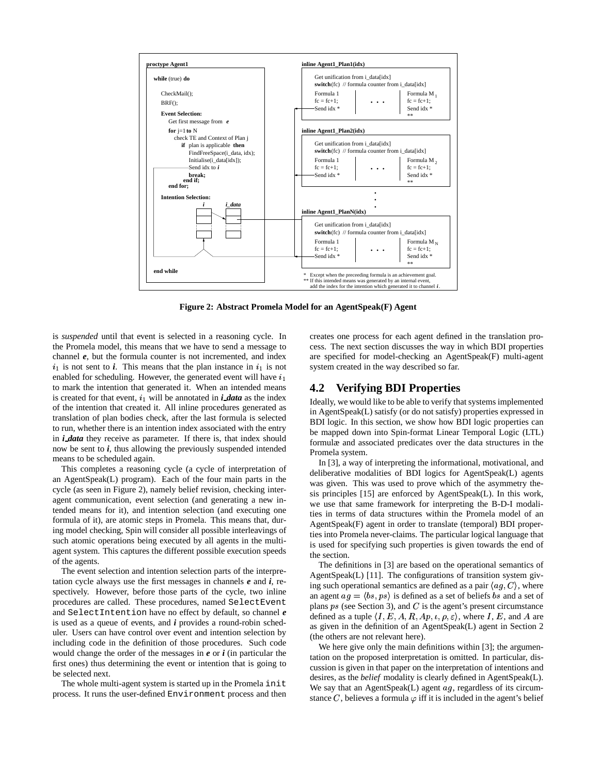

**Figure 2: Abstract Promela Model for an AgentSpeak(F) Agent**

is *suspended* until that event is selected in a reasoning cycle. In the Promela model, this means that we have to send a message to channel *e*, but the formula counter is not incremented, and index  $i_1$  is not sent to  $i$ . This means that the plan instance in  $i_1$  is not enabled for scheduling. However, the generated event will have  $i_1$ to mark the intention that generated it. When an intended means is created for that event,  $i_1$  will be annotated in *i data* as the index of the intention that created it. All inline procedures generated as translation of plan bodies check, after the last formula is selected to run, whether there is an intention index associated with the entry in *i data* they receive as parameter. If there is, that index should now be sent to *i*, thus allowing the previously suspended intended means to be scheduled again.

This completes a reasoning cycle (a cycle of interpretation of an AgentSpeak(L) program). Each of the four main parts in the cycle (as seen in Figure 2), namely belief revision, checking interagent communication, event selection (and generating a new intended means for it), and intention selection (and executing one formula of it), are atomic steps in Promela. This means that, during model checking, Spin will consider all possible interleavings of such atomic operations being executed by all agents in the multiagent system. This captures the different possible execution speeds of the agents.

The event selection and intention selection parts of the interpretation cycle always use the first messages in channels *e* and *i*, respectively. However, before those parts of the cycle, two inline procedures are called. These procedures, named SelectEvent and SelectIntention have no effect by default, so channel *e* is used as a queue of events, and *i* provides a round-robin scheduler. Users can have control over event and intention selection by including code in the definition of those procedures. Such code would change the order of the messages in *e* or *i* (in particular the first ones) thus determining the event or intention that is going to be selected next.

The whole multi-agent system is started up in the Promela init process. It runs the user-defined Environment process and then creates one process for each agent defined in the translation process. The next section discusses the way in which BDI properties are specified for model-checking an AgentSpeak(F) multi-agent system created in the way described so far.

## **4.2 Verifying BDI Properties**

Ideally, we would like to be able to verify that systems implemented in AgentSpeak(L) satisfy (or do not satisfy) properties expressed in BDI logic. In this section, we show how BDI logic properties can be mapped down into Spin-format Linear Temporal Logic (LTL) formulæ and associated predicates over the data structures in the Promela system.

In [3], a way of interpreting the informational, motivational, and deliberative modalities of BDI logics for AgentSpeak(L) agents was given. This was used to prove which of the asymmetry thesis principles [15] are enforced by AgentSpeak(L). In this work, we use that same framework for interpreting the B-D-I modalities in terms of data structures within the Promela model of an AgentSpeak(F) agent in order to translate (temporal) BDI properties into Promela never-claims. The particular logical language that is used for specifying such properties is given towards the end of the section.

The definitions in [3] are based on the operational semantics of AgentSpeak(L) [11]. The configurations of transition system giving such operational semantics are defined as a pair  $\langle ag, C \rangle$ , where an agent  $ag = \langle bs, ps \rangle$  is defined as a set of beliefs bs and a set of plans  $ps$  (see Section 3), and  $C$  is the agent's present circumstance defined as a tuple  $\langle I, E, A, R, Ap, \iota, \rho, \varepsilon \rangle$ , where I, E, and A are as given in the definition of an AgentSpeak(L) agent in Section 2 (the others are not relevant here).

We here give only the main definitions within [3]; the argumentation on the proposed interpretation is omitted. In particular, discussion is given in that paper on the interpretation of intentions and desires, as the *belief* modality is clearly defined in AgentSpeak(L). We say that an AgentSpeak $(L)$  agent  $ag$ , regardless of its circumstance C, believes a formula  $\varphi$  iff it is included in the agent's belief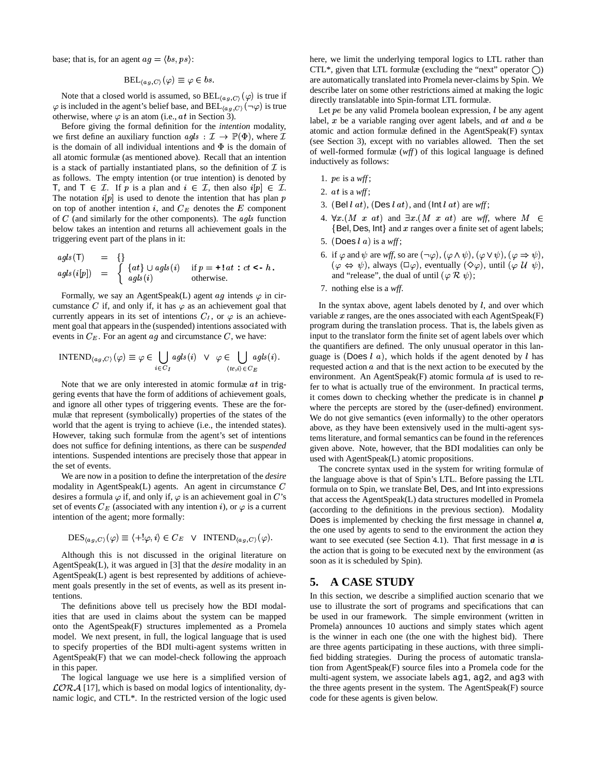base; that is, for an agent  $ag = \langle bs, ps \rangle$ :

$$
\operatorname{BEL}_{(a,q,C)}(\varphi) \equiv \varphi \in bs.
$$

Note that a closed world is assumed, so  $BEL_{(ag, C)}(\varphi)$  is true if  $\varphi$  is included in the agent's belief base, and  $BEL_{(a,q,C)}(\neg \varphi)$  is true otherwise, where  $\varphi$  is an atom (i.e.,  $at$  in Section 3).

Before giving the formal definition for the *intention* modality, we first define an auxiliary function  $agls: \mathcal{I} \to \mathbb{P}(\Phi)$ , where  $\mathcal{I}$  (see Sec. is the domain of all individual intentions and  $\Phi$  is the domain of all atomic formulæ (as mentioned above). Recall that an intention is a stack of partially instantiated plans, so the definition of  $\mathcal I$  is the mass as follows. The empty intention (or true intention) is denoted by **T**, and **T**  $\in \mathcal{I}$ . If p is a plan and  $i \in \mathcal{I}$ , then also  $i[p] \in \mathcal{I}$ . The notation  $i[p]$  is used to denote the intention that has plan p on top of another intention i, and  $C_E$  denotes the E component of  $C$  (and similarly for the other components). The  $agls$  function below takes an intention and returns all achievement goals in the triggering event part of the plans in it:

*agls*(T) = {}  
*agls*(*i*[*p*]) = 
$$
\begin{cases} \{at\} \cup agls(i) & \text{if } p = +!at : ct < -h, \\ agls(i) & \text{otherwise.} \end{cases}
$$

Formally, we say an AgentSpeak(L) agent  $ag$  intends  $\varphi$  in circumstance C if, and only if, it has  $\varphi$  as an achievement goal that currently appears in its set of intentions  $C_I$ , or  $\varphi$  is an achievement goal that appears in the (suspended) intentions associated with events in  $C_E$ . For an agent  $ag$  and circumstance C, we have:

$$
INTERD_{(ag,C)}(\varphi) \equiv \varphi \in \bigcup_{i \in C_I} agls(i) \quad \forall \quad \varphi \in \bigcup_{\langle te,i \rangle \in C_E} agls(i). \quad \text{gugg} \quad \text{reque}
$$

Note that we are only interested in atomic formulæ  $at$  in triggering events that have the form of additions of achievement goals, and ignore all other types of triggering events. These are the formulæ that represent (symbolically) properties of the states of the world that the agent is trying to achieve (i.e., the intended states). However, taking such formulæ from the agent's set of intentions does not suffice for defining intentions, as there can be *suspended* intentions. Suspended intentions are precisely those that appear in the set of events.

We are now in a position to define the interpretation of the *desire* modality in AgentSpeak $(L)$  agents. An agent in circumstance  $C$ desires a formula  $\varphi$  if, and only if,  $\varphi$  is an achievement goal in C's that acce set of events  $C_E$  (associated with any intention i), or  $\varphi$  is a current intention of the agent; more formally:

$$
\mathrm{DES}_{(ag,C)}(\varphi) \equiv \langle +! \varphi, i \rangle \in C_E \quad \lor \quad \mathrm{INTERD}_{(ag,C)}(\varphi).
$$

Although this is not discussed in the original literature on AgentSpeak(L), it was argued in [3] that the *desire* modality in an AgentSpeak(L) agent is best represented by additions of achievement goals presently in the set of events, as well as its present intentions.

The definitions above tell us precisely how the BDI modalities that are used in claims about the system can be mapped onto the AgentSpeak(F) structures implemented as a Promela model. We next present, in full, the logical language that is used to specify properties of the BDI multi-agent systems written in AgentSpeak(F) that we can model-check following the approach in this paper.

The logical language we use here is a simplified version of  $\mathcal{L}ORA$  [17], which is based on modal logics of intentionality, dynamic logic, and CTL\*. In the restricted version of the logic used

here, we limit the underlying temporal logics to LTL rather than CTL<sup>\*</sup>, given that LTL formulæ (excluding the "next" operator  $\bigcap$ ) are automatically translated into Promela never-claims by Spin. We describe later on some other restrictions aimed at making the logic directly translatable into Spin-format LTL formulæ.

Let  $pe$  be any valid Promela boolean expression,  $l$  be any agent label,  $x$  be a variable ranging over agent labels, and  $at$  and  $a$  be atomic and action formulæ defined in the AgentSpeak(F) syntax (see Section 3), except with no variables allowed. Then the set of well-formed formulæ (*wff*) of this logical language is defined inductively as follows:

- 1.  $pe$  is a  $wff$ ;
- 2.  $at$  is a  $wff$ ;
- 3. (Bel  $l$  at), (Des  $l$  at), and (lnt  $l$  at) are  $wff$ ;
- 4.  $\forall x.(M \ x \ at)$  and  $\exists x.(M \ x \ at)$  are wff, where  $M \in$  $\{Bel, Des, Int\}$  and  $x$  ranges over a finite set of agent labels;
- 5. (Does  $l\ a)$  is a *wff*;
- 6. if  $\varphi$  and  $\psi$  are *wff*, so are  $(\neg \varphi)$ ,  $(\varphi \land \psi)$ ,  $(\varphi \lor \psi)$ ,  $(\varphi \Rightarrow \psi)$ ,  $(\varphi \Leftrightarrow \psi)$ , always  $(\Box \varphi)$ , eventually  $(\Diamond \varphi)$ , until  $(\varphi \mathcal{U} \psi)$ , and "release", the dual of until  $(\varphi \mathcal{R} \psi)$ ;
- 7. nothing else is a *wff*.

In the syntax above, agent labels denoted by  $l$ , and over which variable  $x$  ranges, are the ones associated with each AgentSpeak(F) program during the translation process. That is, the labels given as input to the translator form the finite set of agent labels over which the quantifiers are defined. The only unusual operator in this language is (Does  $l \, a$ ), which holds if the agent denoted by  $l$  has requested action  $a$  and that is the next action to be executed by the environment. An AgentSpeak(F) atomic formula  $at$  is used to refer to what is actually true of the environment. In practical terms, it comes down to checking whether the predicate is in channel *p* where the percepts are stored by the (user-defined) environment. We do not give semantics (even informally) to the other operators above, as they have been extensively used in the multi-agent systems literature, and formal semantics can be found in the references given above. Note, however, that the BDI modalities can only be used with AgentSpeak(L) atomic propositions.

The concrete syntax used in the system for writing formulæ of the language above is that of Spin's LTL. Before passing the LTL formula on to Spin, we translate Bel, Des, and Int into expressions that access the AgentSpeak(L) data structures modelled in Promela (according to the definitions in the previous section). Modality Does is implemented by checking the first message in channel *a*, the one used by agents to send to the environment the action they want to see executed (see Section 4.1). That first message in *a* is the action that is going to be executed next by the environment (as soon as it is scheduled by Spin).

## **5. A CASE STUDY**

In this section, we describe a simplified auction scenario that we use to illustrate the sort of programs and specifications that can be used in our framework. The simple environment (written in Promela) announces 10 auctions and simply states which agent is the winner in each one (the one with the highest bid). There are three agents participating in these auctions, with three simplified bidding strategies. During the process of automatic translation from AgentSpeak(F) source files into a Promela code for the multi-agent system, we associate labels ag1, ag2, and ag3 with the three agents present in the system. The AgentSpeak(F) source code for these agents is given below.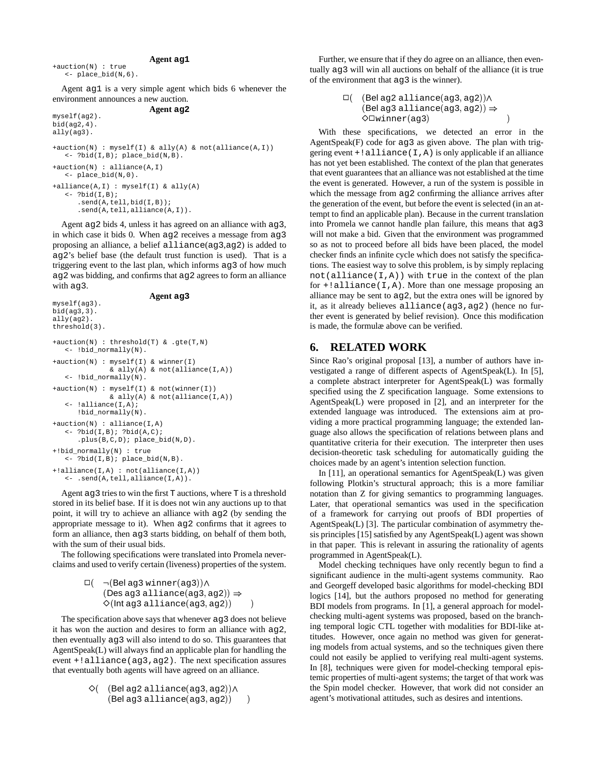#### **Agent ag1**

+auction(N) : true <- place\_bid(N,6).

myself(ag3).

Agent ag1 is a very simple agent which bids 6 whenever the environment announces a new auction.

#### **Agent ag2** myself(ag2). bid(ag2,4).

```
ally(ag3).
+auction(N) : myself(I) & ally(A) & not(alliance(A,I))
   <- ?bid(I,B); place_bid(N,B).
+auction(N) : alliance(A,I)
   <- place_bid(N,0).
+alliance(A,I) : myself(I) & ally(A)
   \leftarrow ?bid(I,B);
      .send(A,tell,bid(I,B));
      .send(A,tell,alliance(A,I)).
```
Agent ag2 bids 4, unless it has agreed on an alliance with ag3, in which case it bids 0. When  $aq2$  receives a message from  $aq3$ proposing an alliance, a belief alliance(ag3,ag2) is added to ag2's belief base (the default trust function is used). That is a triggering event to the last plan, which informs ag3 of how much ag2 was bidding, and confirms that ag2 agrees to form an alliance with ag3.

#### **Agent ag3**

```
bid(ag3,3).
ally(ag2).
threshold(3).
+auction(N) : threshold(T) & .gte(T,N)
   <- !bid_normally(N).
+auction(N) : myself(I) & winner(I)
              \alpha ally(A) \alpha not(alliance(I,A))
   <- !bid_normally(N).
+auction(N) : myself(I) & not(winner(I))
              \& ally(A) & not(alliance(I,A))
   <- !alliance(I,A);
      !bid_normally(N).
+auction(N) : alliance(I,A)
   \leftarrow ?bid(I,B); ?bid(A,C);
      .plus(B,C,D); place_bid(N,D).
+!bid_normally(N) : true
   <- ?bid(I,B); place_bid(N,B).
+!alliance(I,A) : not(alliance(I,A))
   <- .send(A,tell,alliance(I,A)).
```
Agent ag3 tries to win the first  $T$  auctions, where  $T$  is a threshold stored in its belief base. If it is does not win any auctions up to that point, it will try to achieve an alliance with ag2 (by sending the appropriate message to it). When ag2 confirms that it agrees to form an alliance, then ag3 starts bidding, on behalf of them both, with the sum of their usual bids.

The following specifications were translated into Promela neverclaims and used to verify certain (liveness) properties of the system.

```
\Box(\neg (Bel ag3 winner (ag3)) \Lambda(Des ag3 alliance(ag3, ag2)) \Rightarrow\Diamond(\textsf{Int ag3 alliance}(\texttt{ag3},\texttt{ag2}))\qquad \  )
```
The specification above says that whenever ag3 does not believe it has won the auction and desires to form an alliance with ag2, then eventually ag3 will also intend to do so. This guarantees that AgentSpeak(L) will always find an applicable plan for handling the event +!alliance(ag3,ag2). The next specification assures that eventually both agents will have agreed on an alliance.

```
\Diamond( (\sf{Bel} ag2 alliance(ag3, ag2))\land\left(\mathsf{Bel}\,\mathsf{ag3}\,\mathsf{alliance}(\mathsf{ag3},\mathsf{ag2})\right) )
```
Further, we ensure that if they do agree on an alliance, then eventually ag3 will win all auctions on behalf of the alliance (it is true of the environment that ag3 is the winner).

> $\square($  ( $\sf{Bel}$  ag2 alliance $(\texttt{ag3}, \texttt{ag2})) \wedge$ (**Be**lag3 alliance(ag3, ag2))  $\Rightarrow$  $\Diamond$  I winner (ag3)  $\qquad \qquad$  )

With these specifications, we detected an error in the AgentSpeak $(F)$  code for  $aq3$  as given above. The plan with triggering event  $+!$  alliance  $(I, A)$  is only applicable if an alliance has not yet been established. The context of the plan that generates that event guarantees that an alliance was not established at the time the event is generated. However, a run of the system is possible in which the message from  $aq2$  confirming the alliance arrives after the generation of the event, but before the event is selected (in an attempt to find an applicable plan). Because in the current translation into Promela we cannot handle plan failure, this means that  $aq3$ will not make a bid. Given that the environment was programmed so as not to proceed before all bids have been placed, the model checker finds an infinite cycle which does not satisfy the specifications. The easiest way to solve this problem, is by simply replacing  $not(alliance(I, A))$  with true in the context of the plan for  $+i$ alliance(I,A). More than one message proposing an alliance may be sent to ag2, but the extra ones will be ignored by it, as it already believes alliance(ag3,ag2) (hence no further event is generated by belief revision). Once this modification is made, the formulæ above can be verified.

## **6. RELATED WORK**

Since Rao's original proposal [13], a number of authors have investigated a range of different aspects of AgentSpeak(L). In [5], a complete abstract interpreter for AgentSpeak(L) was formally specified using the Z specification language. Some extensions to AgentSpeak(L) were proposed in [2], and an interpreter for the extended language was introduced. The extensions aim at providing a more practical programming language; the extended language also allows the specification of relations between plans and quantitative criteria for their execution. The interpreter then uses decision-theoretic task scheduling for automatically guiding the choices made by an agent's intention selection function.

In [11], an operational semantics for AgentSpeak(L) was given following Plotkin's structural approach; this is a more familiar notation than Z for giving semantics to programming languages. Later, that operational semantics was used in the specification of a framework for carrying out proofs of BDI properties of AgentSpeak(L) [3]. The particular combination of asymmetry thesis principles [15] satisfied by any AgentSpeak(L) agent was shown in that paper. This is relevant in assuring the rationality of agents programmed in AgentSpeak(L).

Model checking techniques have only recently begun to find a significant audience in the multi-agent systems community. Rao and Georgeff developed basic algorithms for model-checking BDI logics [14], but the authors proposed no method for generating BDI models from programs. In [1], a general approach for modelchecking multi-agent systems was proposed, based on the branching temporal logic CTL together with modalities for BDI-like attitudes. However, once again no method was given for generating models from actual systems, and so the techniques given there could not easily be applied to verifying real multi-agent systems. In [8], techniques were given for model-checking temporal epistemic properties of multi-agent systems; the target of that work was the Spin model checker. However, that work did not consider an agent's motivational attitudes, such as desires and intentions.